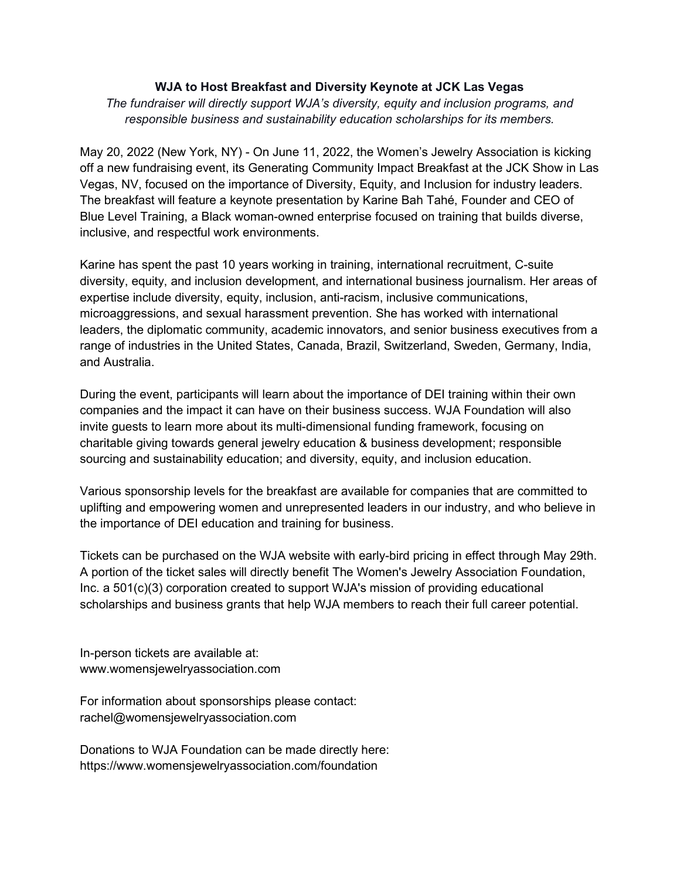## WJA to Host Breakfast and Diversity Keynote at JCK Las Vegas

The fundraiser will directly support WJA's diversity, equity and inclusion programs, and responsible business and sustainability education scholarships for its members.

May 20, 2022 (New York, NY) - On June 11, 2022, the Women's Jewelry Association is kicking off a new fundraising event, its Generating Community Impact Breakfast at the JCK Show in Las Vegas, NV, focused on the importance of Diversity, Equity, and Inclusion for industry leaders. The breakfast will feature a keynote presentation by Karine Bah Tahé, Founder and CEO of Blue Level Training, a Black woman-owned enterprise focused on training that builds diverse, inclusive, and respectful work environments.

Karine has spent the past 10 years working in training, international recruitment, C-suite diversity, equity, and inclusion development, and international business journalism. Her areas of expertise include diversity, equity, inclusion, anti-racism, inclusive communications, microaggressions, and sexual harassment prevention. She has worked with international leaders, the diplomatic community, academic innovators, and senior business executives from a range of industries in the United States, Canada, Brazil, Switzerland, Sweden, Germany, India, and Australia.

During the event, participants will learn about the importance of DEI training within their own companies and the impact it can have on their business success. WJA Foundation will also invite guests to learn more about its multi-dimensional funding framework, focusing on charitable giving towards general jewelry education & business development; responsible sourcing and sustainability education; and diversity, equity, and inclusion education.

Various sponsorship levels for the breakfast are available for companies that are committed to uplifting and empowering women and unrepresented leaders in our industry, and who believe in the importance of DEI education and training for business.

Tickets can be purchased on the WJA website with early-bird pricing in effect through May 29th. A portion of the ticket sales will directly benefit The Women's Jewelry Association Foundation, Inc. a 501(c)(3) corporation created to support WJA's mission of providing educational scholarships and business grants that help WJA members to reach their full career potential.

In-person tickets are available at: www.womensjewelryassociation.com

For information about sponsorships please contact: rachel@womensjewelryassociation.com

Donations to WJA Foundation can be made directly here: https://www.womensjewelryassociation.com/foundation